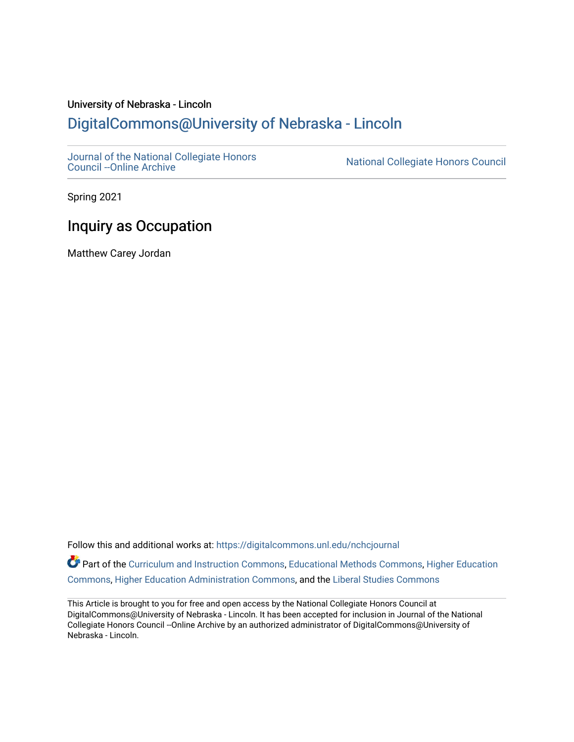### University of Nebraska - Lincoln [DigitalCommons@University of Nebraska - Lincoln](https://digitalcommons.unl.edu/)

[Journal of the National Collegiate Honors](https://digitalcommons.unl.edu/nchcjournal) 

National Collegiate Honors Council

Spring 2021

# Inquiry as Occupation

Matthew Carey Jordan

Follow this and additional works at: [https://digitalcommons.unl.edu/nchcjournal](https://digitalcommons.unl.edu/nchcjournal?utm_source=digitalcommons.unl.edu%2Fnchcjournal%2F680&utm_medium=PDF&utm_campaign=PDFCoverPages) 

**C** Part of the [Curriculum and Instruction Commons,](http://network.bepress.com/hgg/discipline/786?utm_source=digitalcommons.unl.edu%2Fnchcjournal%2F680&utm_medium=PDF&utm_campaign=PDFCoverPages) [Educational Methods Commons,](http://network.bepress.com/hgg/discipline/1227?utm_source=digitalcommons.unl.edu%2Fnchcjournal%2F680&utm_medium=PDF&utm_campaign=PDFCoverPages) [Higher Education](http://network.bepress.com/hgg/discipline/1245?utm_source=digitalcommons.unl.edu%2Fnchcjournal%2F680&utm_medium=PDF&utm_campaign=PDFCoverPages) [Commons](http://network.bepress.com/hgg/discipline/1245?utm_source=digitalcommons.unl.edu%2Fnchcjournal%2F680&utm_medium=PDF&utm_campaign=PDFCoverPages), [Higher Education Administration Commons](http://network.bepress.com/hgg/discipline/791?utm_source=digitalcommons.unl.edu%2Fnchcjournal%2F680&utm_medium=PDF&utm_campaign=PDFCoverPages), and the [Liberal Studies Commons](http://network.bepress.com/hgg/discipline/1042?utm_source=digitalcommons.unl.edu%2Fnchcjournal%2F680&utm_medium=PDF&utm_campaign=PDFCoverPages)

This Article is brought to you for free and open access by the National Collegiate Honors Council at DigitalCommons@University of Nebraska - Lincoln. It has been accepted for inclusion in Journal of the National Collegiate Honors Council --Online Archive by an authorized administrator of DigitalCommons@University of Nebraska - Lincoln.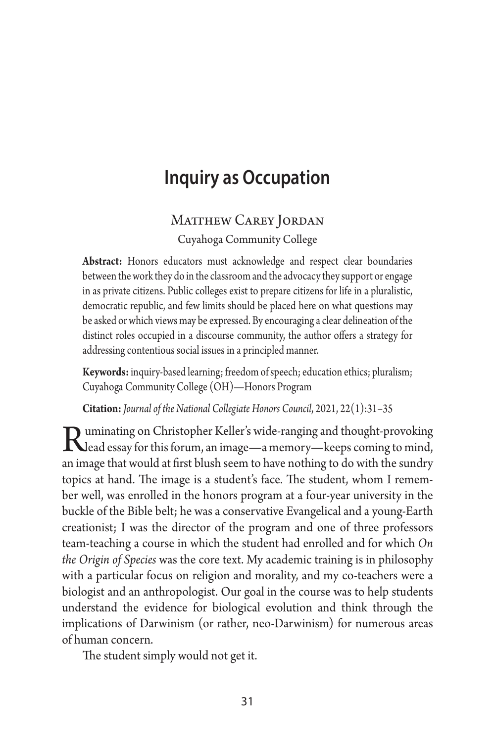# **Inquiry as Occupation**

### MATTHEW CAREY JORDAN Cuyahoga Community College

**Abstract:** Honors educators must acknowledge and respect clear boundaries between the work they do in the classroom and the advocacy they support or engage in as private citizens. Public colleges exist to prepare citizens for life in a pluralistic, democratic republic, and few limits should be placed here on what questions may be asked or which views may be expressed. By encouraging a clear delineation of the distinct roles occupied in a discourse community, the author offers a strategy for addressing contentious social issues in a principled manner.

**Keywords:** inquiry-based learning; freedom of speech; education ethics; pluralism; Cuyahoga Community College (OH)—Honors Program

**Citation:** *Journal of the National Collegiate Honors Council*, 2021, 22(1):31–35

Ruminating on Christopher Keller's wide-ranging and thought-provoking<br>Read essay for this forum, an image—a memory—keeps coming to mind,<br>an image that would at fort blueb seem to be used in this to do with the sunder. an image that would at first blush seem to have nothing to do with the sundry topics at hand. The image is a student's face. The student, whom I remember well, was enrolled in the honors program at a four-year university in the buckle of the Bible belt; he was a conservative Evangelical and a young-Earth creationist; I was the director of the program and one of three professors team-teaching a course in which the student had enrolled and for which *On the Origin of Species* was the core text. My academic training is in philosophy with a particular focus on religion and morality, and my co-teachers were a biologist and an anthropologist. Our goal in the course was to help students understand the evidence for biological evolution and think through the implications of Darwinism (or rather, neo-Darwinism) for numerous areas of human concern.

The student simply would not get it.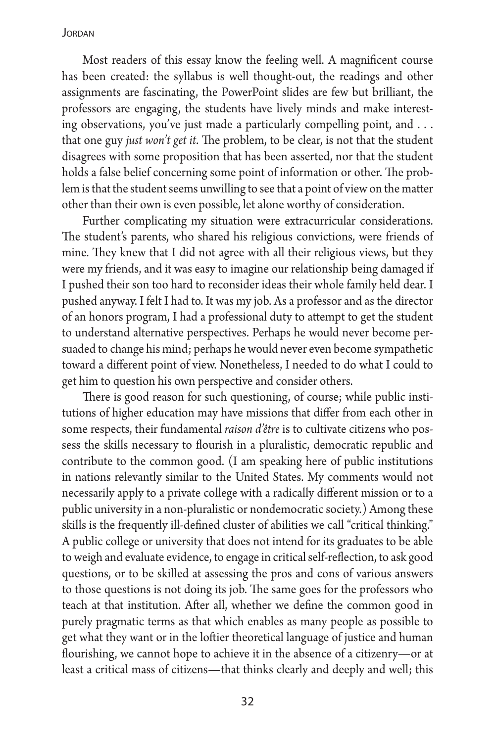#### JORDAN

Most readers of this essay know the feeling well. A magnificent course has been created: the syllabus is well thought-out, the readings and other assignments are fascinating, the PowerPoint slides are few but brilliant, the professors are engaging, the students have lively minds and make interesting observations, you've just made a particularly compelling point, and ... that one guy *just won't get it*. The problem, to be clear, is not that the student disagrees with some proposition that has been asserted, nor that the student holds a false belief concerning some point of information or other. The problem is that the student seems unwilling to see that a point of view on the matter other than their own is even possible, let alone worthy of consideration.

Further complicating my situation were extracurricular considerations. The student's parents, who shared his religious convictions, were friends of mine. They knew that I did not agree with all their religious views, but they were my friends, and it was easy to imagine our relationship being damaged if I pushed their son too hard to reconsider ideas their whole family held dear. I pushed anyway. I felt I had to. It was my job. As a professor and as the director of an honors program, I had a professional duty to attempt to get the student to understand alternative perspectives. Perhaps he would never become persuaded to change his mind; perhaps he would never even become sympathetic toward a different point of view. Nonetheless, I needed to do what I could to get him to question his own perspective and consider others.

There is good reason for such questioning, of course; while public institutions of higher education may have missions that differ from each other in some respects, their fundamental *raison d'être* is to cultivate citizens who possess the skills necessary to flourish in a pluralistic, democratic republic and contribute to the common good. (I am speaking here of public institutions in nations relevantly similar to the United States. My comments would not necessarily apply to a private college with a radically different mission or to a public university in a non-pluralistic or nondemocratic society.) Among these skills is the frequently ill-defined cluster of abilities we call "critical thinking." A public college or university that does not intend for its graduates to be able to weigh and evaluate evidence, to engage in critical self-reflection, to ask good questions, or to be skilled at assessing the pros and cons of various answers to those questions is not doing its job. The same goes for the professors who teach at that institution. After all, whether we define the common good in purely pragmatic terms as that which enables as many people as possible to get what they want or in the loftier theoretical language of justice and human flourishing, we cannot hope to achieve it in the absence of a citizenry—or at least a critical mass of citizens—that thinks clearly and deeply and well; this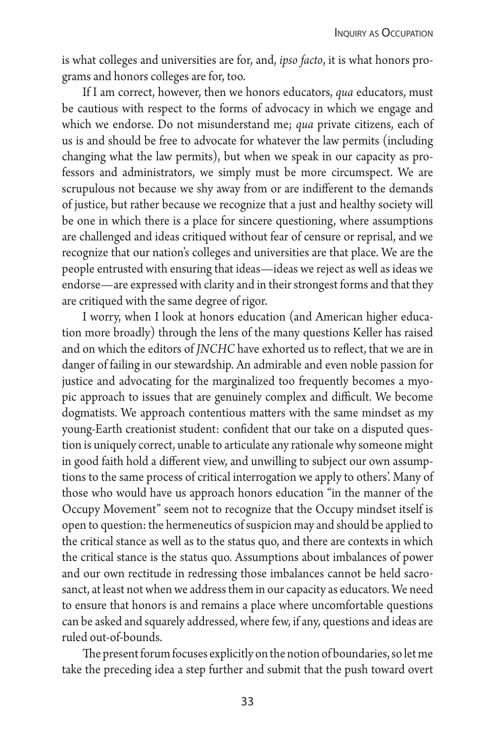is what colleges and universities are for, and, *ipso facto*, it is what honors programs and honors colleges are for, too.

If I am correct, however, then we honors educators, *qua* educators, must be cautious with respect to the forms of advocacy in which we engage and which we endorse. Do not misunderstand me; *qua* private citizens, each of us is and should be free to advocate for whatever the law permits (including changing what the law permits), but when we speak in our capacity as professors and administrators, we simply must be more circumspect. We are scrupulous not because we shy away from or are indifferent to the demands of justice, but rather because we recognize that a just and healthy society will be one in which there is a place for sincere questioning, where assumptions are challenged and ideas critiqued without fear of censure or reprisal, and we recognize that our nation's colleges and universities are that place. We are the people entrusted with ensuring that ideas—ideas we reject as well as ideas we endorse—are expressed with clarity and in their strongest forms and that they are critiqued with the same degree of rigor.

I worry, when I look at honors education (and American higher education more broadly) through the lens of the many questions Keller has raised and on which the editors of *JNCHC* have exhorted us to reflect, that we are in danger of failing in our stewardship. An admirable and even noble passion for justice and advocating for the marginalized too frequently becomes a myopic approach to issues that are genuinely complex and difficult. We become dogmatists. We approach contentious matters with the same mindset as my young-Earth creationist student: confident that our take on a disputed question is uniquely correct, unable to articulate any rationale why someone might in good faith hold a different view, and unwilling to subject our own assumptions to the same process of critical interrogation we apply to others'. Many of those who would have us approach honors education "in the manner of the Occupy Movement" seem not to recognize that the Occupy mindset itself is open to question: the hermeneutics of suspicion may and should be applied to the critical stance as well as to the status quo, and there are contexts in which the critical stance is the status quo. Assumptions about imbalances of power and our own rectitude in redressing those imbalances cannot be held sacrosanct, at least not when we address them in our capacity as educators. We need to ensure that honors is and remains a place where uncomfortable questions can be asked and squarely addressed, where few, if any, questions and ideas are ruled out-of-bounds.

The present forum focuses explicitly on the notion of boundaries, so let me take the preceding idea a step further and submit that the push toward overt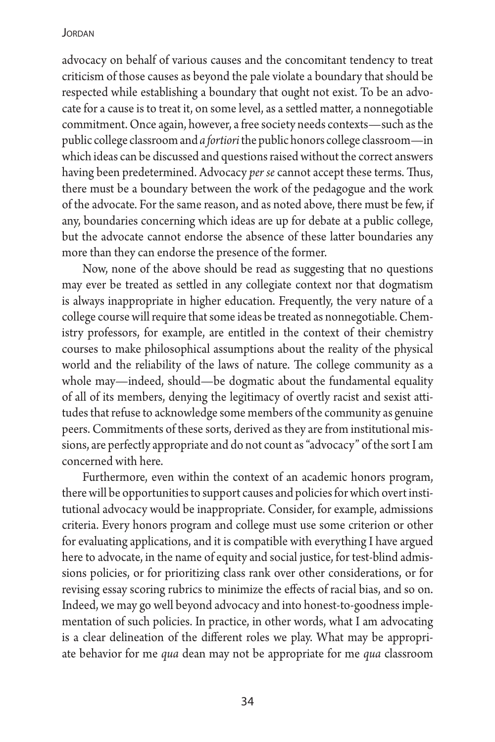### **JORDAN**

advocacy on behalf of various causes and the concomitant tendency to treat criticism of those causes as beyond the pale violate a boundary that should be respected while establishing a boundary that ought not exist. To be an advocate for a cause is to treat it, on some level, as a settled matter, a nonnegotiable commitment. Once again, however, a free society needs contexts—such as the public college classroom and *a fortiori* the public honors college classroom—in which ideas can be discussed and questions raised without the correct answers having been predetermined. Advocacy *per se* cannot accept these terms. Thus, there must be a boundary between the work of the pedagogue and the work of the advocate. For the same reason, and as noted above, there must be few, if any, boundaries concerning which ideas are up for debate at a public college, but the advocate cannot endorse the absence of these latter boundaries any more than they can endorse the presence of the former.

Now, none of the above should be read as suggesting that no questions may ever be treated as settled in any collegiate context nor that dogmatism is always inappropriate in higher education. Frequently, the very nature of a college course will require that some ideas be treated as nonnegotiable. Chemistry professors, for example, are entitled in the context of their chemistry courses to make philosophical assumptions about the reality of the physical world and the reliability of the laws of nature. The college community as a whole may—indeed, should—be dogmatic about the fundamental equality of all of its members, denying the legitimacy of overtly racist and sexist attitudes that refuse to acknowledge some members of the community as genuine peers. Commitments of these sorts, derived as they are from institutional missions, are perfectly appropriate and do not count as "advocacy" of the sort I am concerned with here.

Furthermore, even within the context of an academic honors program, there will be opportunities to support causes and policies for which overt institutional advocacy would be inappropriate. Consider, for example, admissions criteria. Every honors program and college must use some criterion or other for evaluating applications, and it is compatible with everything I have argued here to advocate, in the name of equity and social justice, for test-blind admissions policies, or for prioritizing class rank over other considerations, or for revising essay scoring rubrics to minimize the effects of racial bias, and so on. Indeed, we may go well beyond advocacy and into honest-to-goodness implementation of such policies. In practice, in other words, what I am advocating is a clear delineation of the different roles we play. What may be appropriate behavior for me *qua* dean may not be appropriate for me *qua* classroom